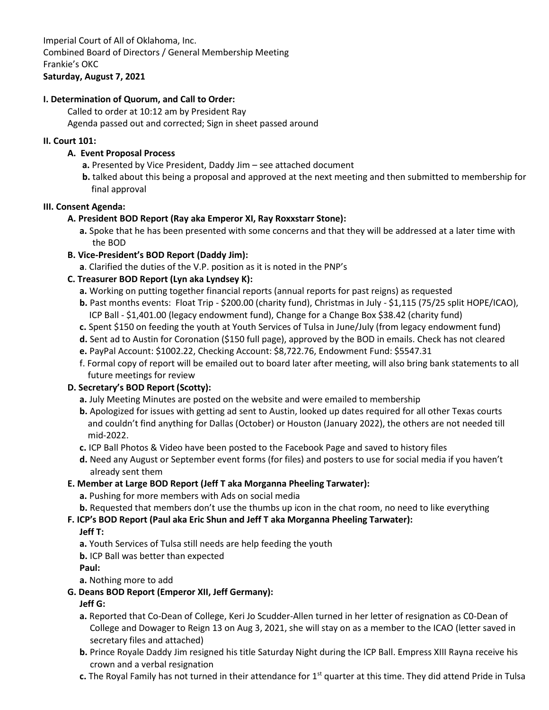### **I. Determination of Quorum, and Call to Order:**

Called to order at 10:12 am by President Ray

Agenda passed out and corrected; Sign in sheet passed around

#### **II. Court 101:**

#### **A. Event Proposal Process**

- **a.** Presented by Vice President, Daddy Jim see attached document
- **b.** talked about this being a proposal and approved at the next meeting and then submitted to membership for final approval

#### **III. Consent Agenda:**

### **A. President BOD Report (Ray aka Emperor XI, Ray Roxxstarr Stone):**

**a.** Spoke that he has been presented with some concerns and that they will be addressed at a later time with the BOD

### **B. Vice-President's BOD Report (Daddy Jim):**

**a**. Clarified the duties of the V.P. position as it is noted in the PNP's

### **C. Treasurer BOD Report (Lyn aka Lyndsey K):**

- **a.** Working on putting together financial reports (annual reports for past reigns) as requested
- **b.** Past months events: Float Trip \$200.00 (charity fund), Christmas in July \$1,115 (75/25 split HOPE/ICAO), ICP Ball - \$1,401.00 (legacy endowment fund), Change for a Change Box \$38.42 (charity fund)
- **c.** Spent \$150 on feeding the youth at Youth Services of Tulsa in June/July (from legacy endowment fund)
- **d.** Sent ad to Austin for Coronation (\$150 full page), approved by the BOD in emails. Check has not cleared
- **e.** PayPal Account: \$1002.22, Checking Account: \$8,722.76, Endowment Fund: \$5547.31
- f. Formal copy of report will be emailed out to board later after meeting, will also bring bank statements to all future meetings for review

### **D. Secretary's BOD Report (Scotty):**

- **a.** July Meeting Minutes are posted on the website and were emailed to membership
- **b.** Apologized for issues with getting ad sent to Austin, looked up dates required for all other Texas courts and couldn't find anything for Dallas (October) or Houston (January 2022), the others are not needed till mid-2022.
- **c.** ICP Ball Photos & Video have been posted to the Facebook Page and saved to history files
- **d.** Need any August or September event forms (for files) and posters to use for social media if you haven't already sent them

#### **E. Member at Large BOD Report (Jeff T aka Morganna Pheeling Tarwater):**

- **a.** Pushing for more members with Ads on social media
- **b.** Requested that members don't use the thumbs up icon in the chat room, no need to like everything

### **F. ICP's BOD Report (Paul aka Eric Shun and Jeff T aka Morganna Pheeling Tarwater):**

#### **Jeff T:**

**a.** Youth Services of Tulsa still needs are help feeding the youth

**b.** ICP Ball was better than expected

**Paul:**

**a.** Nothing more to add

### **G. Deans BOD Report (Emperor XII, Jeff Germany):**

### **Jeff G:**

- **a.** Reported that Co-Dean of College, Keri Jo Scudder-Allen turned in her letter of resignation as C0-Dean of College and Dowager to Reign 13 on Aug 3, 2021, she will stay on as a member to the ICAO (letter saved in secretary files and attached)
- **b.** Prince Royale Daddy Jim resigned his title Saturday Night during the ICP Ball. Empress XIII Rayna receive his crown and a verbal resignation
- **c.** The Royal Family has not turned in their attendance for 1st quarter at this time. They did attend Pride in Tulsa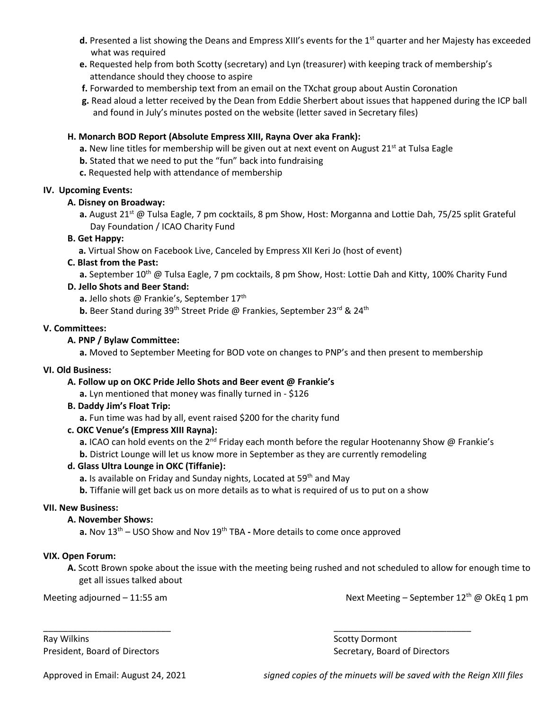- **d.** Presented a list showing the Deans and Empress XIII's events for the 1<sup>st</sup> quarter and her Majesty has exceeded what was required
- **e.** Requested help from both Scotty (secretary) and Lyn (treasurer) with keeping track of membership's attendance should they choose to aspire
- **f.** Forwarded to membership text from an email on the TXchat group about Austin Coronation
- **g.** Read aloud a letter received by the Dean from Eddie Sherbert about issues that happened during the ICP ball and found in July's minutes posted on the website (letter saved in Secretary files)

#### **H. Monarch BOD Report (Absolute Empress XIII, Rayna Over aka Frank):**

- **a.** New line titles for membership will be given out at next event on August 21<sup>st</sup> at Tulsa Eagle
- **b.** Stated that we need to put the "fun" back into fundraising
- **c.** Requested help with attendance of membership

#### **IV. Upcoming Events:**

#### **A. Disney on Broadway:**

**a.** August 21st @ Tulsa Eagle, 7 pm cocktails, 8 pm Show, Host: Morganna and Lottie Dah, 75/25 split Grateful Day Foundation / ICAO Charity Fund

#### **B. Get Happy:**

 **a.** Virtual Show on Facebook Live, Canceled by Empress XII Keri Jo (host of event)

#### **C. Blast from the Past:**

**a.** September 10<sup>th</sup> @ Tulsa Eagle, 7 pm cocktails, 8 pm Show, Host: Lottie Dah and Kitty, 100% Charity Fund

#### **D. Jello Shots and Beer Stand:**

a. Jello shots @ Frankie's, September 17<sup>th</sup>

**b.** Beer Stand during 39<sup>th</sup> Street Pride @ Frankies, September 23<sup>rd</sup> & 24<sup>th</sup>

#### **V. Committees:**

#### **A. PNP / Bylaw Committee:**

**a.** Moved to September Meeting for BOD vote on changes to PNP's and then present to membership

#### **VI. Old Business:**

#### **A. Follow up on OKC Pride Jello Shots and Beer event @ Frankie's**

**a.** Lyn mentioned that money was finally turned in - \$126

#### **B. Daddy Jim's Float Trip:**

**a.** Fun time was had by all, event raised \$200 for the charity fund

#### **c. OKC Venue's (Empress XIII Rayna):**

**a.** ICAO can hold events on the 2<sup>nd</sup> Friday each month before the regular Hootenanny Show @ Frankie's

**b.** District Lounge will let us know more in September as they are currently remodeling

#### **d. Glass Ultra Lounge in OKC (Tiffanie):**

a. Is available on Friday and Sunday nights, Located at 59<sup>th</sup> and May

**b.** Tiffanie will get back us on more details as to what is required of us to put on a show

\_\_\_\_\_\_\_\_\_\_\_\_\_\_\_\_\_\_\_\_\_\_\_\_\_\_ \_\_\_\_\_\_\_\_\_\_\_\_\_\_\_\_\_\_\_\_\_\_\_\_\_\_\_\_

#### **VII. New Business:**

#### **A. November Shows:**

**a.** Nov 13<sup>th</sup> – USO Show and Nov 19<sup>th</sup> TBA - More details to come once approved

#### **VIX. Open Forum:**

**A.** Scott Brown spoke about the issue with the meeting being rushed and not scheduled to allow for enough time to get all issues talked about

Meeting adjourned – 11:55 am Next Meeting – September 12<sup>th</sup> @ OkEq 1 pm

Ray Wilkins **Scotty Dormont** Number 2012 12:30 Scotty Dormont **Scotty Dormont** President, Board of Directors **Secretary, Board of Directors** Secretary, Board of Directors

Approved in Email: August 24, 2021 *signed copies of the minuets will be saved with the Reign XIII files*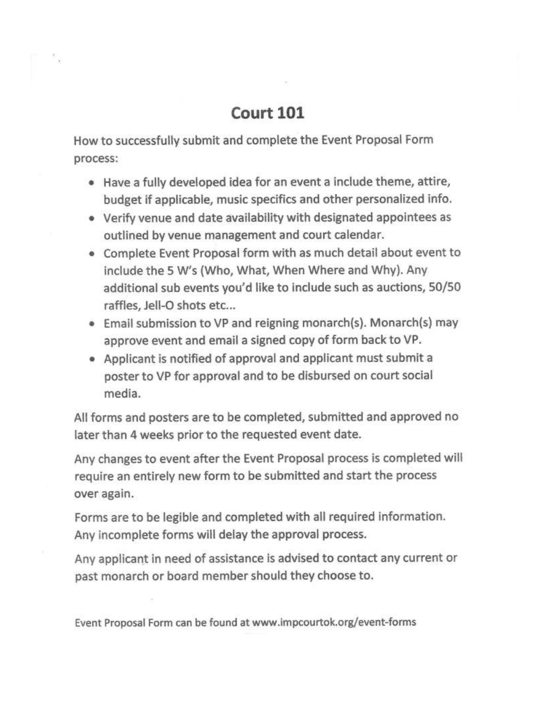# Court 101

How to successfully submit and complete the Event Proposal Form process:

- . Have a fully developed idea for an event a include theme, attire, budget if applicable, music specifics and other personalized info.
- Verify venue and date availability with designated appointees as outlined by venue management and court calendar.
- . Complete Event Proposal form with as much detail about event to include the 5 W's (Who, What, When Where and Why). Any additional sub events you'd like to include such as auctions, 50/50 raffles, Jell-O shots etc...
- . Email submission to VP and reigning monarch(s). Monarch(s) may approve event and email a signed copy of form back to VP.
- Applicant is notified of approval and applicant must submit a poster to VP for approval and to be disbursed on court social media.

All forms and posters are to be completed, submitted and approved no later than 4 weeks prior to the requested event date.

Any changes to event after the Event Proposal process is completed will require an entirely new form to be submitted and start the process over again.

Forms are to be legible and completed with all required information. Any incomplete forms will delay the approval process.

Any applicant in need of assistance is advised to contact any current or past monarch or board member should they choose to.

Event Proposal Form can be found at www.impcourtok.org/event-forms